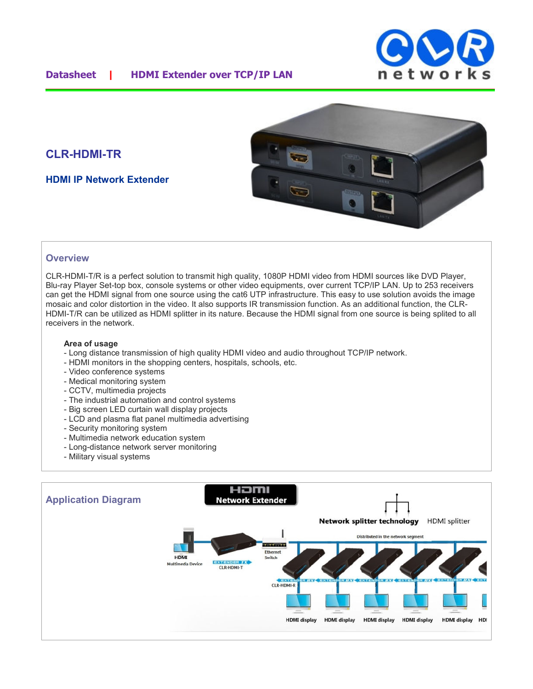

# **CLR-HDMI-TR**

**HDMI IP Network Extender**



#### **Overview**

CLR-HDMI-T/R is a perfect solution to transmit high quality, 1080P HDMI video from HDMI sources like DVD Player, Blu-ray Player Set-top box, console systems or other video equipments, over current TCP/IP LAN. Up to 253 receivers can get the HDMI signal from one source using the cat6 UTP infrastructure. This easy to use solution avoids the image mosaic and color distortion in the video. It also supports IR transmission function. As an additional function, the CLR-HDMI-T/R can be utilized as HDMI splitter in its nature. Because the HDMI signal from one source is being splited to all receivers in the network.

#### **Area of usage**

- Long distance transmission of high quality HDMI video and audio throughout TCP/IP network.
- HDMI monitors in the shopping centers, hospitals, schools, etc.
- Video conference systems
- Medical monitoring system
- CCTV, multimedia projects
- The industrial automation and control systems
- Big screen LED curtain wall display projects
- LCD and plasma flat panel multimedia advertising
- Security monitoring system
- Multimedia network education system
- Long-distance network server monitoring
- Military visual systems

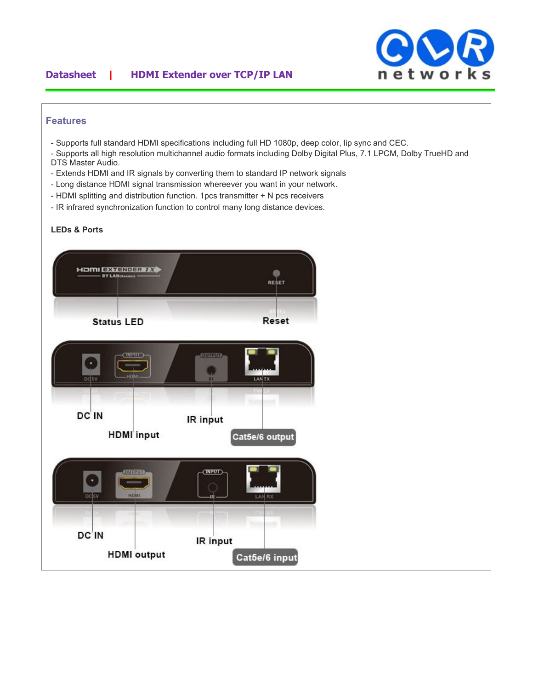### **Datasheet | HDMI Extender over TCP/IP LAN**



#### **Features**

- Supports full standard HDMI specifications including full HD 1080p, deep color, lip sync and CEC.
- Supports all high resolution multichannel audio formats including Dolby Digital Plus, 7.1 LPCM, Dolby TrueHD and DTS Master Audio.
- Extends HDMI and IR signals by converting them to standard IP network signals
- Long distance HDMI signal transmission whereever you want in your network.
- HDMI splitting and distribution function. 1pcs transmitter + N pcs receivers
- IR infrared synchronization function to control many long distance devices.

### **LEDs & Ports**